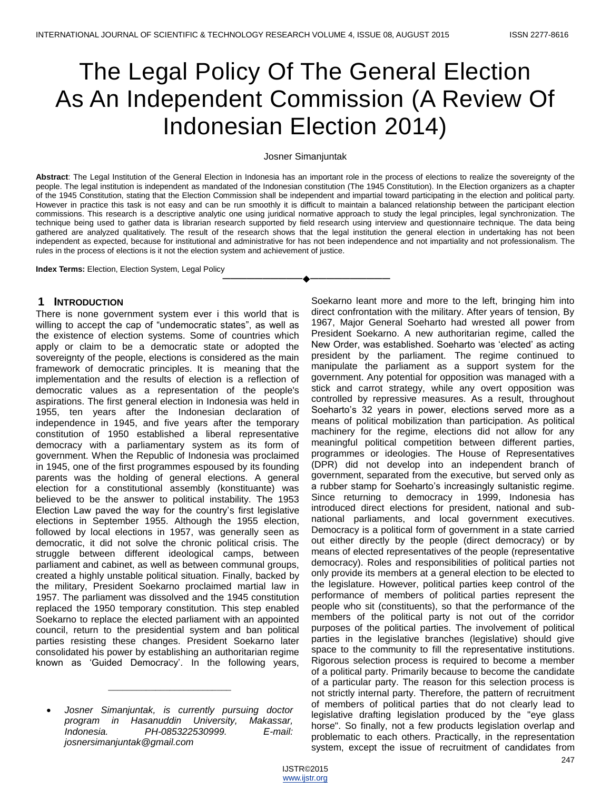# The Legal Policy Of The General Election As An Independent Commission (A Review Of Indonesian Election 2014)

#### Josner Simanjuntak

**Abstract**: The Legal Institution of the General Election in Indonesia has an important role in the process of elections to realize the sovereignty of the people. The legal institution is independent as mandated of the Indonesian constitution (The 1945 Constitution). In the Election organizers as a chapter of the 1945 Constitution, stating that the Election Commission shall be independent and impartial toward participating in the election and political party. However in practice this task is not easy and can be run smoothly it is difficult to maintain a balanced relationship between the participant election commissions. This research is a descriptive analytic one using juridical normative approach to study the legal principles, legal synchronization. The technique being used to gather data is librarian research supported by field research using interview and questionnaire technique. The data being gathered are analyzed qualitatively. The result of the research shows that the legal institution the general election in undertaking has not been independent as expected, because for institutional and administrative for has not been independence and not impartiality and not professionalism. The rules in the process of elections is it not the election system and achievement of justice.

**————————————————————**

**Index Terms:** Election, Election System, Legal Policy

#### **1 INTRODUCTION**

There is none government system ever i this world that is willing to accept the cap of "undemocratic states", as well as the existence of election systems. Some of countries which apply or claim to be a democratic state or adopted the sovereignty of the people, elections is considered as the main framework of democratic principles. It is meaning that the implementation and the results of election is a reflection of democratic values as a representation of the people's aspirations. The first general election in Indonesia was held in 1955, ten years after the Indonesian declaration of independence in 1945, and five years after the temporary constitution of 1950 established a liberal representative democracy with a parliamentary system as its form of government. When the Republic of Indonesia was proclaimed in 1945, one of the first programmes espoused by its founding parents was the holding of general elections. A general election for a constitutional assembly (konstituante) was believed to be the answer to political instability. The 1953 Election Law paved the way for the country"s first legislative elections in September 1955. Although the 1955 election, followed by local elections in 1957, was generally seen as democratic, it did not solve the chronic political crisis. The struggle between different ideological camps, between parliament and cabinet, as well as between communal groups, created a highly unstable political situation. Finally, backed by the military, President Soekarno proclaimed martial law in 1957. The parliament was dissolved and the 1945 constitution replaced the 1950 temporary constitution. This step enabled Soekarno to replace the elected parliament with an appointed council, return to the presidential system and ban political parties resisting these changes. President Soekarno later consolidated his power by establishing an authoritarian regime known as 'Guided Democracy'. In the following years,

\_\_\_\_\_\_\_\_\_\_\_\_\_\_\_\_\_\_\_\_\_\_\_\_\_\_

Soekarno leant more and more to the left, bringing him into direct confrontation with the military. After years of tension, By 1967, Major General Soeharto had wrested all power from President Soekarno. A new authoritarian regime, called the New Order, was established. Soeharto was "elected" as acting president by the parliament. The regime continued to manipulate the parliament as a support system for the government. Any potential for opposition was managed with a stick and carrot strategy, while any overt opposition was controlled by repressive measures. As a result, throughout Soeharto's 32 years in power, elections served more as a means of political mobilization than participation. As political machinery for the regime, elections did not allow for any meaningful political competition between different parties, programmes or ideologies. The House of Representatives (DPR) did not develop into an independent branch of government, separated from the executive, but served only as a rubber stamp for Soeharto's increasingly sultanistic regime. Since returning to democracy in 1999, Indonesia has introduced direct elections for president, national and subnational parliaments, and local government executives. Democracy is a political form of government in a state carried out either directly by the people (direct democracy) or by means of elected representatives of the people (representative democracy). Roles and responsibilities of political parties not only provide its members at a general election to be elected to the legislature. However, political parties keep control of the performance of members of political parties represent the people who sit (constituents), so that the performance of the members of the political party is not out of the corridor purposes of the political parties. The involvement of political parties in the legislative branches (legislative) should give space to the community to fill the representative institutions. Rigorous selection process is required to become a member of a political party. Primarily because to become the candidate of a particular party. The reason for this selection process is not strictly internal party. Therefore, the pattern of recruitment of members of political parties that do not clearly lead to legislative drafting legislation produced by the "eye glass horse". So finally, not a few products legislation overlap and problematic to each others. Practically, in the representation system, except the issue of recruitment of candidates from

*Josner Simanjuntak, is currently pursuing doctor program in Hasanuddin University, Makassar, Indonesia. PH-085322530999. E-mail: josnersimanjuntak@gmail.com*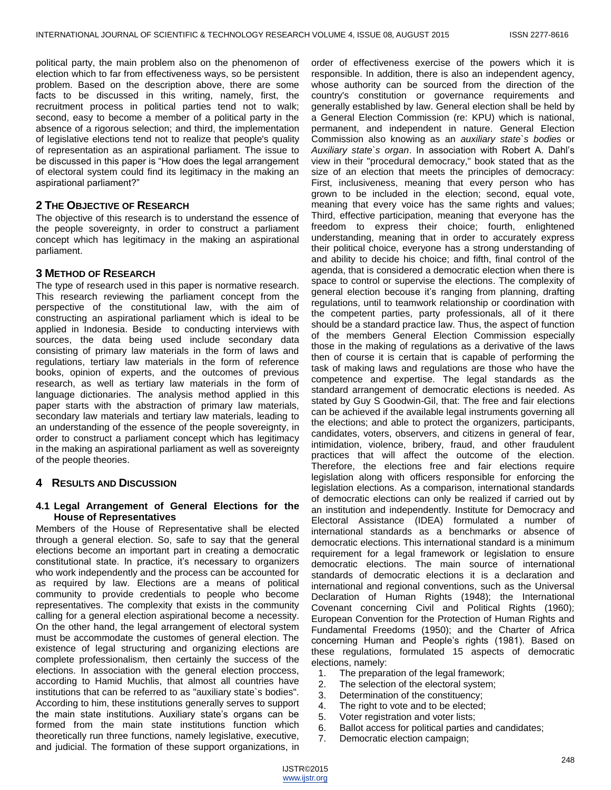political party, the main problem also on the phenomenon of election which to far from effectiveness ways, so be persistent problem. Based on the description above, there are some facts to be discussed in this writing, namely, first, the recruitment process in political parties tend not to walk; second, easy to become a member of a political party in the absence of a rigorous selection; and third, the implementation of legislative elections tend not to realize that people's quality of representation as an aspirational parliament. The issue to be discussed in this paper is "How does the legal arrangement of electoral system could find its legitimacy in the making an aspirational parliament?"

## **2 THE OBJECTIVE OF RESEARCH**

The objective of this research is to understand the essence of the people sovereignty, in order to construct a parliament concept which has legitimacy in the making an aspirational parliament.

## **3 METHOD OF RESEARCH**

The type of research used in this paper is normative research. This research reviewing the parliament concept from the perspective of the constitutional law, with the aim of constructing an aspirational parliament which is ideal to be applied in Indonesia. Beside to conducting interviews with sources, the data being used include secondary data consisting of primary law materials in the form of laws and regulations, tertiary law materials in the form of reference books, opinion of experts, and the outcomes of previous research, as well as tertiary law materials in the form of language dictionaries. The analysis method applied in this paper starts with the abstraction of primary law materials, secondary law materials and tertiary law materials, leading to an understanding of the essence of the people sovereignty, in order to construct a parliament concept which has legitimacy in the making an aspirational parliament as well as sovereignty of the people theories.

## **4 RESULTS AND DISCUSSION**

### **4.1 Legal Arrangement of General Elections for the House of Representatives**

Members of the House of Representative shall be elected through a general election. So, safe to say that the general elections become an important part in creating a democratic constitutional state. In practice, it's necessary to organizers who work independently and the process can be accounted for as required by law. Elections are a means of political community to provide credentials to people who become representatives. The complexity that exists in the community calling for a general election aspirational become a necessity. On the other hand, the legal arrangement of electoral system must be accommodate the customes of general election. The existence of legal structuring and organizing elections are complete professionalism, then certainly the success of the elections. In association with the general election proccess, according to Hamid Muchlis, that almost all countries have institutions that can be referred to as "auxiliary state`s bodies". According to him, these institutions generally serves to support the main state institutions. Auxiliary state's organs can be formed from the main state institutions function which theoretically run three functions, namely legislative, executive, and judicial. The formation of these support organizations, in

order of effectiveness exercise of the powers which it is responsible. In addition, there is also an independent agency, whose authority can be sourced from the direction of the country's constitution or governance requirements and generally established by law. General election shall be held by a General Election Commission (re: KPU) which is national, permanent, and independent in nature. General Election Commission also knowing as an *auxiliary state`s bodies* or *Auxiliary state`s organ*. In association with Robert A. Dahl"s view in their "procedural democracy," book stated that as the size of an election that meets the principles of democracy: First, inclusiveness, meaning that every person who has grown to be included in the election; second, equal vote, meaning that every voice has the same rights and values; Third, effective participation, meaning that everyone has the freedom to express their choice; fourth, enlightened understanding, meaning that in order to accurately express their political choice, everyone has a strong understanding of and ability to decide his choice; and fifth, final control of the agenda, that is considered a democratic election when there is space to control or supervise the elections. The complexity of general election becouse it's ranging from planning, drafting regulations, until to teamwork relationship or coordination with the competent parties, party professionals, all of it there should be a standard practice law. Thus, the aspect of function of the members General Election Commission especially those in the making of regulations as a derivative of the laws then of course it is certain that is capable of performing the task of making laws and regulations are those who have the competence and expertise. The legal standards as the standard arrangement of democratic elections is needed. As stated by Guy S Goodwin-Gil, that: The free and fair elections can be achieved if the available legal instruments governing all the elections; and able to protect the organizers, participants, candidates, voters, observers, and citizens in general of fear, intimidation, violence, bribery, fraud, and other fraudulent practices that will affect the outcome of the election. Therefore, the elections free and fair elections require legislation along with officers responsible for enforcing the legislation elections. As a comparison, international standards of democratic elections can only be realized if carried out by an institution and independently. Institute for Democracy and Electoral Assistance (IDEA) formulated a number of international standards as a benchmarks or absence of democratic elections. This international standard is a minimum requirement for a legal framework or legislation to ensure democratic elections. The main source of international standards of democratic elections it is a declaration and international and regional conventions, such as the Universal Declaration of Human Rights (1948); the International Covenant concerning Civil and Political Rights (1960); European Convention for the Protection of Human Rights and Fundamental Freedoms (1950); and the Charter of Africa concerning Human and People"s rights (1981). Based on these regulations, formulated 15 aspects of democratic elections, namely:

- 1. The preparation of the legal framework;
- 2. The selection of the electoral system;
- 3. Determination of the constituency;
- 4. The right to vote and to be elected;
- 5. Voter registration and voter lists;
- 6. Ballot access for political parties and candidates;
- 7. Democratic election campaign;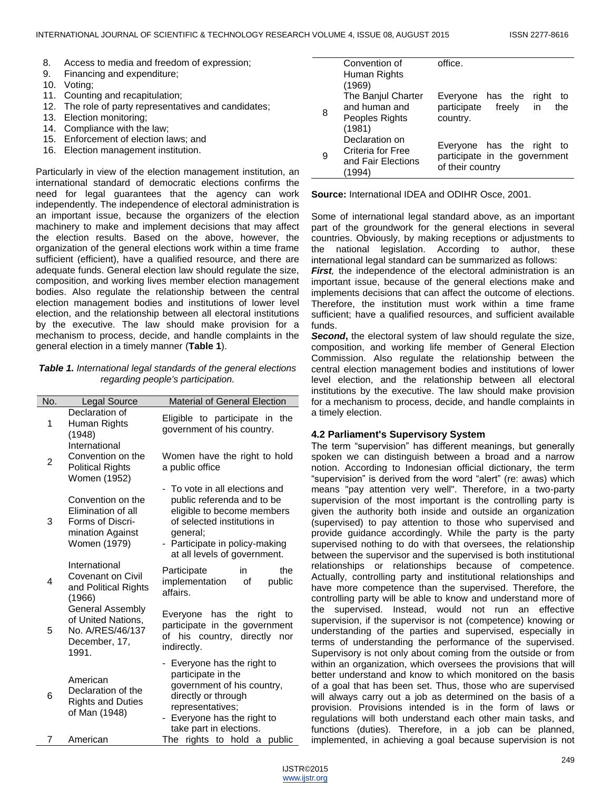- 8. Access to media and freedom of expression;
- 9. Financing and expenditure;
- 10. Voting;
- 11. Counting and recapitulation;
- 12. The role of party representatives and candidates;
- 13. Election monitoring;
- 14. Compliance with the law;
- 15. Enforcement of election laws; and
- 16. Election management institution.

Particularly in view of the election management institution, an international standard of democratic elections confirms the need for legal guarantees that the agency can work independently. The independence of electoral administration is an important issue, because the organizers of the election machinery to make and implement decisions that may affect the election results. Based on the above, however, the organization of the general elections work within a time frame sufficient (efficient), have a qualified resource, and there are adequate funds. General election law should regulate the size, composition, and working lives member election management bodies. Also regulate the relationship between the central election management bodies and institutions of lower level election, and the relationship between all electoral institutions by the executive. The law should make provision for a mechanism to process, decide, and handle complaints in the general election in a timely manner (**Table 1**).

*Table 1. International legal standards of the general elections regarding people's participation.*

| No. | <b>Legal Source</b>                                                                             | <b>Material of General Election</b>                                                                                                                                                                     |
|-----|-------------------------------------------------------------------------------------------------|---------------------------------------------------------------------------------------------------------------------------------------------------------------------------------------------------------|
| 1   | Declaration of<br>Human Rights<br>(1948)                                                        | Eligible to participate in the<br>government of his country.                                                                                                                                            |
| 2   | International<br>Convention on the<br><b>Political Rights</b><br>Women (1952)                   | Women have the right to hold<br>a public office                                                                                                                                                         |
| 3   | Convention on the<br>Elimination of all<br>Forms of Discri-<br>mination Against<br>Women (1979) | - To vote in all elections and<br>public referenda and to be<br>eligible to become members<br>of selected institutions in<br>general;<br>- Participate in policy-making<br>at all levels of government. |
| 4   | International<br>Covenant on Civil<br>and Political Rights<br>(1966)                            | the<br>Participate<br>in<br>implementation<br>public<br>οf<br>affairs.                                                                                                                                  |
| 5   | <b>General Assembly</b><br>of United Nations,<br>No. A/RES/46/137<br>December, 17,<br>1991.     | Everyone has the<br>right<br>to<br>participate in the government<br>his country, directly<br>of<br>nor<br>indirectly.                                                                                   |
| 6   | American<br>Declaration of the<br><b>Rights and Duties</b><br>of Man (1948)                     | - Everyone has the right to<br>participate in the<br>government of his country,<br>directly or through<br>representatives;<br>Everyone has the right to<br>take part in elections.                      |
| 7   | American                                                                                        | The rights to hold a<br>public                                                                                                                                                                          |

|   | Convention of      | office.                         |
|---|--------------------|---------------------------------|
|   | Human Rights       |                                 |
|   | (1969)             |                                 |
|   | The Banjul Charter | Everyone has the<br>right<br>to |
| 8 | and human and      | participate freely<br>in<br>the |
|   | Peoples Rights     | country.                        |
|   | (1981)             |                                 |
| 9 | Declaration on     | Everyone has the right<br>to    |
|   | Criteria for Free  | participate in the government   |
|   | and Fair Elections | of their country                |
|   | (1994)             |                                 |

**Source:** International IDEA and ODIHR Osce, 2001.

Some of international legal standard above, as an important part of the groundwork for the general elections in several countries. Obviously, by making receptions or adjustments to the national legislation. According to author, these international legal standard can be summarized as follows:

*First*, the independence of the electoral administration is an important issue, because of the general elections make and implements decisions that can affect the outcome of elections. Therefore, the institution must work within a time frame sufficient; have a qualified resources, and sufficient available funds.

*Second***,** the electoral system of law should regulate the size, composition, and working life member of General Election Commission. Also regulate the relationship between the central election management bodies and institutions of lower level election, and the relationship between all electoral institutions by the executive. The law should make provision for a mechanism to process, decide, and handle complaints in a timely election.

## **4.2 Parliament's Supervisory System**

The term "supervision" has different meanings, but generally spoken we can distinguish between a broad and a narrow notion. According to Indonesian official dictionary, the term "supervision" is derived from the word "alert" (re: awas) which means "pay attention very well". Therefore, in a two-party supervision of the most important is the controlling party is given the authority both inside and outside an organization (supervised) to pay attention to those who supervised and provide guidance accordingly. While the party is the party supervised nothing to do with that oversees, the relationship between the supervisor and the supervised is both institutional relationships or relationships because of competence. Actually, controlling party and institutional relationships and have more competence than the supervised. Therefore, the controlling party will be able to know and understand more of the supervised. Instead, would not run an effective supervision, if the supervisor is not (competence) knowing or understanding of the parties and supervised, especially in terms of understanding the performance of the supervised. Supervisory is not only about coming from the outside or from within an organization, which oversees the provisions that will better understand and know to which monitored on the basis of a goal that has been set. Thus, those who are supervised will always carry out a job as determined on the basis of a provision. Provisions intended is in the form of laws or regulations will both understand each other main tasks, and functions (duties). Therefore, in a job can be planned, implemented, in achieving a goal because supervision is not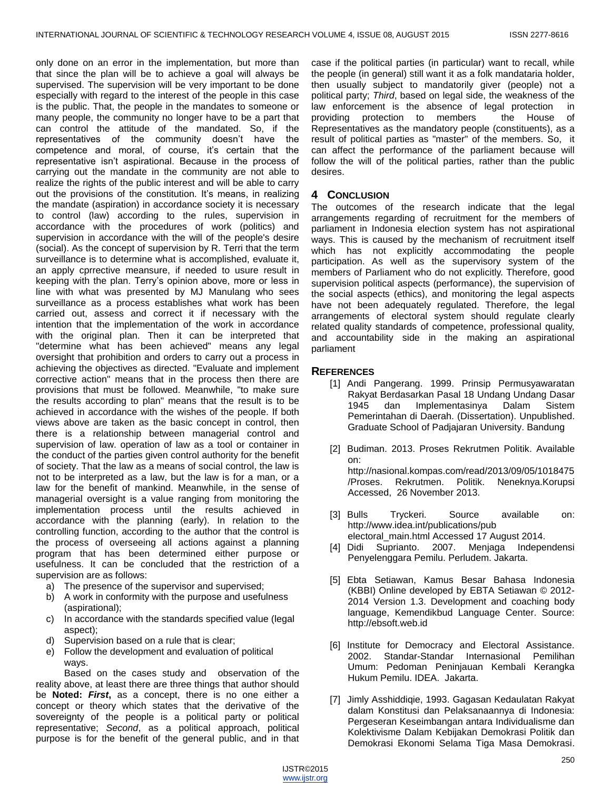only done on an error in the implementation, but more than that since the plan will be to achieve a goal will always be supervised. The supervision will be very important to be done especially with regard to the interest of the people in this case is the public. That, the people in the mandates to someone or many people, the community no longer have to be a part that can control the attitude of the mandated. So, if the representatives of the community doesn"t have the competence and moral, of course, it"s certain that the representative isn"t aspirational. Because in the process of carrying out the mandate in the community are not able to realize the rights of the public interest and will be able to carry out the provisions of the constitution. It's means, in realizing the mandate (aspiration) in accordance society it is necessary to control (law) according to the rules, supervision in accordance with the procedures of work (politics) and supervision in accordance with the will of the people's desire (social). As the concept of supervision by R. Terri that the term surveillance is to determine what is accomplished, evaluate it, an apply cprrective meansure, if needed to usure result in keeping with the plan. Terry"s opinion above, more or less in line with what was presented by MJ Manulang who sees surveillance as a process establishes what work has been carried out, assess and correct it if necessary with the intention that the implementation of the work in accordance with the original plan. Then it can be interpreted that "determine what has been achieved" means any legal oversight that prohibition and orders to carry out a process in achieving the objectives as directed. "Evaluate and implement corrective action" means that in the process then there are provisions that must be followed. Meanwhile, "to make sure the results according to plan" means that the result is to be achieved in accordance with the wishes of the people. If both views above are taken as the basic concept in control, then there is a relationship between managerial control and supervision of law. operation of law as a tool or container in the conduct of the parties given control authority for the benefit of society. That the law as a means of social control, the law is not to be interpreted as a law, but the law is for a man, or a law for the benefit of mankind. Meanwhile, in the sense of managerial oversight is a value ranging from monitoring the implementation process until the results achieved in accordance with the planning (early). In relation to the controlling function, according to the author that the control is the process of overseeing all actions against a planning program that has been determined either purpose or usefulness. It can be concluded that the restriction of a supervision are as follows:

- a) The presence of the supervisor and supervised;
- b) A work in conformity with the purpose and usefulness (aspirational);
- c) In accordance with the standards specified value (legal aspect);
- d) Supervision based on a rule that is clear;
- e) Follow the development and evaluation of political ways.

Based on the cases study and observation of the reality above, at least there are three things that author should be **Noted:** *First***,** as a concept, there is no one either a concept or theory which states that the derivative of the sovereignty of the people is a political party or political representative; *Second*, as a political approach, political purpose is for the benefit of the general public, and in that case if the political parties (in particular) want to recall, while the people (in general) still want it as a folk mandataria holder, then usually subject to mandatorily giver (people) not a political party; *Third*, based on legal side, the weakness of the law enforcement is the absence of legal protection in providing protection to members the House of Representatives as the mandatory people (constituents), as a result of political parties as "master" of the members. So, it can affect the performance of the parliament because will follow the will of the political parties, rather than the public desires.

### **4 CONCLUSION**

The outcomes of the research indicate that the legal arrangements regarding of recruitment for the members of parliament in Indonesia election system has not aspirational ways. This is caused by the mechanism of recruitment itself which has not explicitly accommodating the people participation. As well as the supervisory system of the members of Parliament who do not explicitly. Therefore, good supervision political aspects (performance), the supervision of the social aspects (ethics), and monitoring the legal aspects have not been adequately regulated. Therefore, the legal arrangements of electoral system should regulate clearly related quality standards of competence, professional quality, and accountability side in the making an aspirational parliament

### **REFERENCES**

- [1] Andi Pangerang. 1999. Prinsip Permusyawaratan Rakyat Berdasarkan Pasal 18 Undang Undang Dasar 1945 dan Implementasinya Dalam Sistem Pemerintahan di Daerah. (Dissertation). Unpublished. Graduate School of Padjajaran University. Bandung
- [2] Budiman. 2013. Proses Rekrutmen Politik. Available on: [http://nasional.kompas.com/read/2013/09/05/1018475](http://nasional.kompas.com/read/2013/09/05/1018475/Proses.%20Rekrutmen.%20Politik.%20Neneknya.Korupsi) /Proses. Rekrutmen. Politik. [Neneknya.Korupsi](http://nasional.kompas.com/read/2013/09/05/1018475/Proses.%20Rekrutmen.%20Politik.%20Neneknya.Korupsi) Accessed, 26 November 2013.
- [3] Bulls Tryckeri. Source available on: [http://www.idea.int/publications/pub](http://www.idea.int/publications/pub%20electoral_main.html) [electoral\\_main.html](http://www.idea.int/publications/pub%20electoral_main.html) Accessed 17 August 2014.
- [4] Didi Suprianto. 2007. Menjaga Independensi Penyelenggara Pemilu. Perludem. Jakarta.
- [5] Ebta Setiawan, Kamus Besar Bahasa Indonesia (KBBI) Online developed by EBTA Setiawan © 2012- 2014 Version 1.3. Development and coaching body language, Kemendikbud Language Center. Source: [http://ebsoft.web.id](http://ebsoft.web.id/)
- [6] Institute for Democracy and Electoral Assistance. 2002. Standar-Standar Internasional Pemilihan Umum: Pedoman Peninjauan Kembali Kerangka Hukum Pemilu. IDEA. Jakarta.
- [7] Jimly Asshiddiqie, 1993. Gagasan Kedaulatan Rakyat dalam Konstitusi dan Pelaksanaannya di Indonesia: Pergeseran Keseimbangan antara Individualisme dan Kolektivisme Dalam Kebijakan Demokrasi Politik dan Demokrasi Ekonomi Selama Tiga Masa Demokrasi.